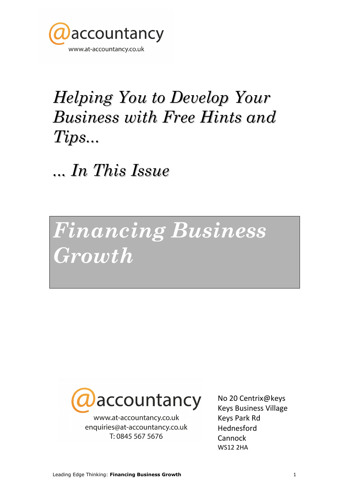

## Helping You to Develop Your Business with Free Hints and Tips...

... In This Issue

Financing Business Growth



www.at-accountancy.co.uk enquiries@at-accountancy.co.uk T: 0845 567 5676

No 20 Centrix@keys Keys Business Village Keys Park Rd Hednesford **Cannock** WS12 2HA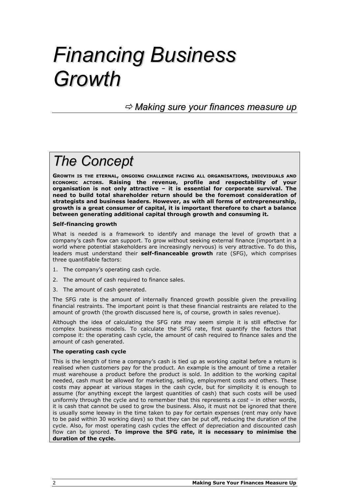## Financing Business Growth

 $\Rightarrow$  Making sure your finances measure up

## The Concept

GROWTH IS THE ETERNAL, ONGOING CHALLENGE FACING ALL ORGANISATIONS, INDIVIDUALS AND ECONOMIC ACTORS. Raising the revenue, profile and respectability of your organisation is not only attractive – it is essential for corporate survival. The need to build total shareholder return should be the foremost consideration of strategists and business leaders. However, as with all forms of entrepreneurship, growth is a great consumer of capital, it is important therefore to chart a balance between generating additional capital through growth and consuming it.

#### Self-financing growth

What is needed is a framework to identify and manage the level of growth that a company's cash flow can support. To grow without seeking external finance (important in a world where potential stakeholders are increasingly nervous) is very attractive. To do this, leaders must understand their self-financeable growth rate (SFG), which comprises three quantifiable factors:

- 1. The company's operating cash cycle.
- 2. The amount of cash required to finance sales.
- 3. The amount of cash generated.

The SFG rate is the amount of internally financed growth possible given the prevailing financial restraints. The important point is that these financial restraints are related to the amount of growth (the growth discussed here is, of course, growth in sales revenue).

Although the idea of calculating the SFG rate may seem simple it is still effective for complex business models. To calculate the SFG rate, first quantify the factors that compose it: the operating cash cycle, the amount of cash required to finance sales and the amount of cash generated.

#### The operating cash cycle

This is the length of time a company's cash is tied up as working capital before a return is realised when customers pay for the product. An example is the amount of time a retailer must warehouse a product before the product is sold. In addition to the working capital needed, cash must be allowed for marketing, selling, employment costs and others. These costs may appear at various stages in the cash cycle, but for simplicity it is enough to assume (for anything except the largest quantities of cash) that such costs will be used uniformly through the cycle and to remember that this represents a  $cost - in$  other words, it is cash that cannot be used to grow the business. Also, it must not be ignored that there is usually some leeway in the time taken to pay for certain expenses (rent may only have to be paid within 30 working days) so that they can be put off, reducing the duration of the cycle. Also, for most operating cash cycles the effect of depreciation and discounted cash flow can be ignored. To improve the SFG rate, it is necessary to minimise the duration of the cycle.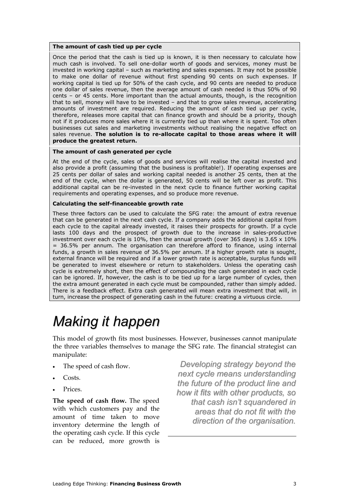#### The amount of cash tied up per cycle

Once the period that the cash is tied up is known, it is then necessary to calculate how much cash is involved. To sell one-dollar worth of goods and services, money must be invested in working capital – such as marketing and sales expenses. It may not be possible to make one dollar of revenue without first spending 90 cents on such expenses. If working capital is tied up for 50% of the cash cycle, and 90 cents are needed to produce one dollar of sales revenue, then the average amount of cash needed is thus 50% of 90 cents – or 45 cents. More important than the actual amounts, though, is the recognition that to sell, money will have to be invested – and that to grow sales revenue, accelerating amounts of investment are required. Reducing the amount of cash tied up per cycle, therefore, releases more capital that can finance growth and should be a priority, though not if it produces more sales where it is currently tied up than where it is spent. Too often businesses cut sales and marketing investments without realising the negative effect on sales revenue. The solution is to re-allocate capital to those areas where it will produce the greatest return.

#### The amount of cash generated per cycle

At the end of the cycle, sales of goods and services will realise the capital invested and also provide a profit (assuming that the business is profitable!). If operating expenses are 25 cents per dollar of sales and working capital needed is another 25 cents, then at the end of the cycle, when the dollar is generated, 50 cents will be left over as profit. This additional capital can be re-invested in the next cycle to finance further working capital requirements and operating expenses, and so produce more revenue.

#### Calculating the self-financeable growth rate

These three factors can be used to calculate the SFG rate: the amount of extra revenue that can be generated in the next cash cycle. If a company adds the additional capital from each cycle to the capital already invested, it raises their prospects for growth. If a cycle lasts 100 days and the prospect of growth due to the increase in sales-productive investment over each cycle is 10%, then the annual growth (over 365 days) is 3.65 x 10% = 36.5% per annum. The organisation can therefore afford to finance, using internal funds, a growth in sales revenue of 36.5% per annum. If a higher growth rate is sought, external finance will be required and if a lower growth rate is acceptable, surplus funds will be generated to invest elsewhere or return to stakeholders. Unless the operating cash cycle is extremely short, then the effect of compounding the cash generated in each cycle can be ignored. If, however, the cash is to be tied up for a large number of cycles, then the extra amount generated in each cycle must be compounded, rather than simply added. There is a feedback effect. Extra cash generated will mean extra investment that will, in turn, increase the prospect of generating cash in the future: creating a virtuous circle.

## Making it happen

This model of growth fits most businesses. However, businesses cannot manipulate the three variables themselves to manage the SFG rate. The financial strategist can manipulate:

- The speed of cash flow.
- Costs.
- Prices.

The speed of cash flow. The speed with which customers pay and the amount of time taken to move inventory determine the length of the operating cash cycle. If this cycle can be reduced, more growth is

Developing strategy beyond the next cycle means understanding the future of the product line and how it fits with other products, so that cash isn't squandered in areas that do not fit with the direction of the organisation.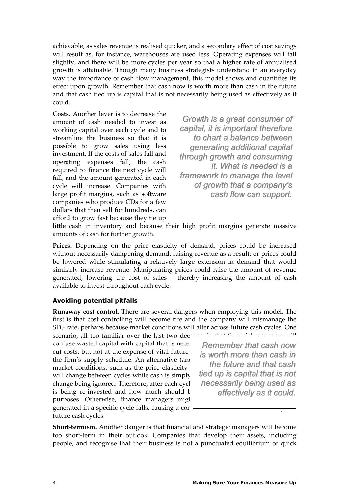achievable, as sales revenue is realised quicker, and a secondary effect of cost savings will result as, for instance, warehouses are used less. Operating expenses will fall slightly, and there will be more cycles per year so that a higher rate of annualised growth is attainable. Though many business strategists understand in an everyday way the importance of cash flow management, this model shows and quantifies its effect upon growth. Remember that cash now is worth more than cash in the future and that cash tied up is capital that is not necessarily being used as effectively as it could.

Costs. Another lever is to decrease the amount of cash needed to invest as working capital over each cycle and to streamline the business so that it is possible to grow sales using less investment. If the costs of sales fall and operating expenses fall, the cash required to finance the next cycle will fall, and the amount generated in each cycle will increase. Companies with large profit margins, such as software companies who produce CDs for a few dollars that then sell for hundreds, can afford to grow fast because they tie up

Growth is a great consumer of capital, it is important therefore to chart a balance between generating additional capital through growth and consuming it. What is needed is a framework to manage the level of growth that a company's cash flow can support.

little cash in inventory and because their high profit margins generate massive amounts of cash for further growth.

Prices. Depending on the price elasticity of demand, prices could be increased without necessarily dampening demand, raising revenue as a result; or prices could be lowered while stimulating a relatively large extension in demand that would similarly increase revenue. Manipulating prices could raise the amount of revenue generated, lowering the cost of sales – thereby increasing the amount of cash available to invest throughout each cycle.

#### Avoiding potential pitfalls

Runaway cost control. There are several dangers when employing this model. The first is that cost controlling will become rife and the company will mismanage the SFG rate, perhaps because market conditions will alter across future cash cycles. One

scenario, all too familiar over the last two dec- $<sup>1</sup>$ </sup> confuse wasted capital with capital that is neces cut costs, but not at the expense of vital future the firm's supply schedule. An alternative (and market conditions, such as the price elasticity will change between cycles while cash is simply change being ignored. Therefore, after each cycl is being re-invested and how much should  $k$ purposes. Otherwise, finance managers might generated in a specific cycle falls, causing a contraction in sales revenue that future cash cycles.

Remember that cash now is worth more than cash in the future and that cash tied up is capital that is not necessarily being used as effectively as it could.

Short-termism. Another danger is that financial and strategic managers will become too short-term in their outlook. Companies that develop their assets, including people, and recognise that their business is not a punctuated equilibrium of quick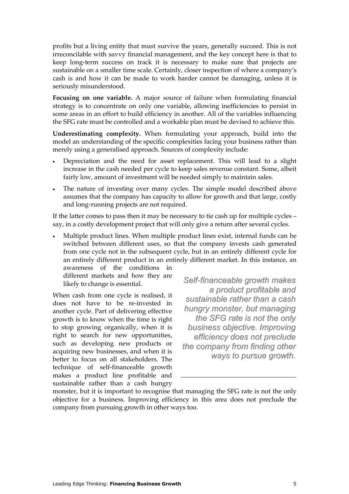profits but a living entity that must survive the years, generally succeed. This is not irreconcilable with savvy financial management, and the key concept here is that to keep long-term success on track it is necessary to make sure that projects are sustainable on a smaller time scale. Certainly, closer inspection of where a company's cash is and how it can be made to work harder cannot be damaging, unless it is seriously misunderstood.

Focusing on one variable. A major source of failure when formulating financial strategy is to concentrate on only one variable, allowing inefficiencies to persist in some areas in an effort to build efficiency in another. All of the variables influencing the SFG rate must be controlled and a workable plan must be devised to achieve this.

Underestimating complexity. When formulating your approach, build into the model an understanding of the specific complexities facing your business rather than merely using a generalised approach. Sources of complexity include:

- Depreciation and the need for asset replacement. This will lead to a slight increase in the cash needed per cycle to keep sales revenue constant. Some, albeit fairly low, amount of investment will be needed simply to maintain sales.
- The nature of investing over many cycles. The simple model described above assumes that the company has capacity to allow for growth and that large, costly and long-running projects are not required.

If the latter comes to pass then it may be necessary to tie cash up for multiple cycles – say, in a costly development project that will only give a return after several cycles.

• Multiple product lines. When multiple product lines exist, internal funds can be switched between different uses, so that the company invests cash generated from one cycle not in the subsequent cycle, but in an entirely different cycle for an entirely different product in an entirely different market. In this instance, an awareness of the conditions in

different markets and how they are likely to change is essential.

When cash from one cycle is realised, it does not have to be re-invested in another cycle. Part of delivering effective growth is to know when the time is right to stop growing organically, when it is right to search for new opportunities, such as developing new products or acquiring new businesses, and when it is better to focus on all stakeholders. The technique of self-financeable growth makes a product line profitable and sustainable rather than a cash hungry

Self-financeable growth makes a product profitable and sustainable rather than a cash hungry monster, but managing the SFG rate is not the only business objective. Improving efficiency does not preclude the company from finding other ways to pursue growth.

monster, but it is important to recognise that managing the SFG rate is not the only objective for a business. Improving efficiency in this area does not preclude the company from pursuing growth in other ways too.